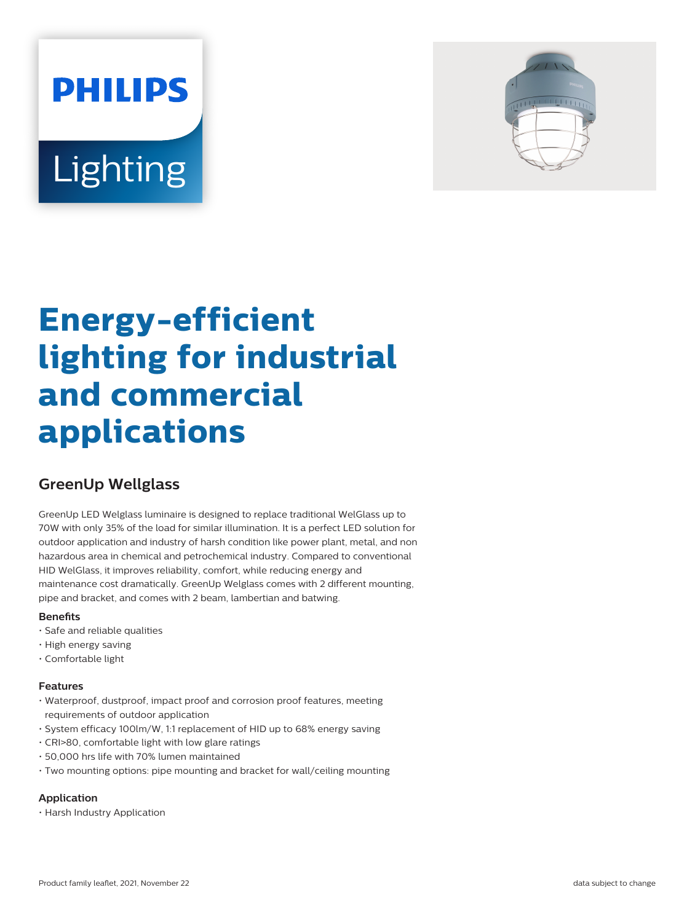# **PHILIPS** Lighting



# **Energy-efficient lighting for industrial and commercial applications**

# **GreenUp Wellglass**

GreenUp LED Welglass luminaire is designed to replace traditional WelGlass up to 70W with only 35% of the load for similar illumination. It is a perfect LED solution for outdoor application and industry of harsh condition like power plant, metal, and non hazardous area in chemical and petrochemical industry. Compared to conventional HID WelGlass, it improves reliability, comfort, while reducing energy and maintenance cost dramatically. GreenUp Welglass comes with 2 different mounting, pipe and bracket, and comes with 2 beam, lambertian and batwing.

## **Benefits**

- Safe and reliable qualities
- High energy saving
- Comfortable light

## **Features**

- Waterproof, dustproof, impact proof and corrosion proof features, meeting requirements of outdoor application
- System efficacy 100lm/W, 1:1 replacement of HID up to 68% energy saving
- CRI>80, comfortable light with low glare ratings
- 50,000 hrs life with 70% lumen maintained
- Two mounting options: pipe mounting and bracket for wall/ceiling mounting

# **Application**

• Harsh Industry Application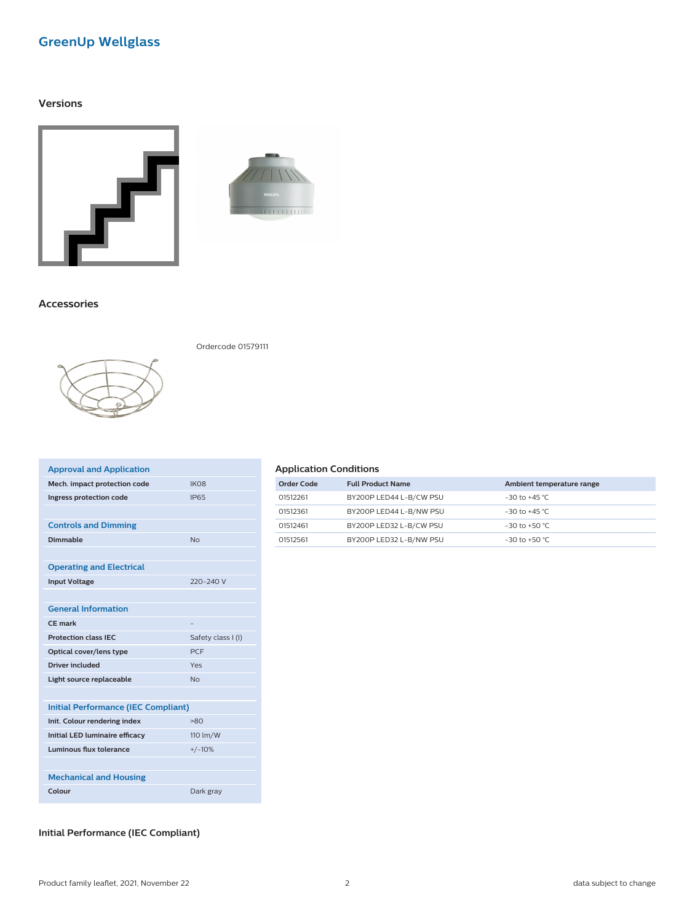# **GreenUp Wellglass**

#### **Versions**





#### **Accessories**



Ordercode 01579111

| IK <sub>O</sub> 8                          |
|--------------------------------------------|
| <b>IP65</b>                                |
|                                            |
|                                            |
| N <sub>0</sub>                             |
|                                            |
|                                            |
| 220-240 V                                  |
|                                            |
|                                            |
|                                            |
| Safety class I (I)                         |
| <b>PCF</b>                                 |
| Yes                                        |
| N <sub>0</sub>                             |
|                                            |
| <b>Initial Performance (IEC Compliant)</b> |
| $-80$                                      |
| 110 lm/W                                   |
| $+/-10%$                                   |
|                                            |
|                                            |
| Dark gray                                  |
|                                            |

#### **Application Conditions**

| Order Code | <b>Full Product Name</b> | Ambient temperature range |
|------------|--------------------------|---------------------------|
| 01512261   | BY200P LED44 L-B/CW PSU  | $-30$ to $+45$ °C.        |
| 01512361   | BY200P LED44 L-B/NW PSU  | $-30$ to $+45$ °C.        |
| 01512461   | BY200P LED32 L-B/CW PSU  | $-30$ to $+50$ °C.        |
| 01512561   | BY200P LED32 L-B/NW PSU  | $-30$ to $+50$ °C.        |

# **Initial Performance (IEC Compliant)**